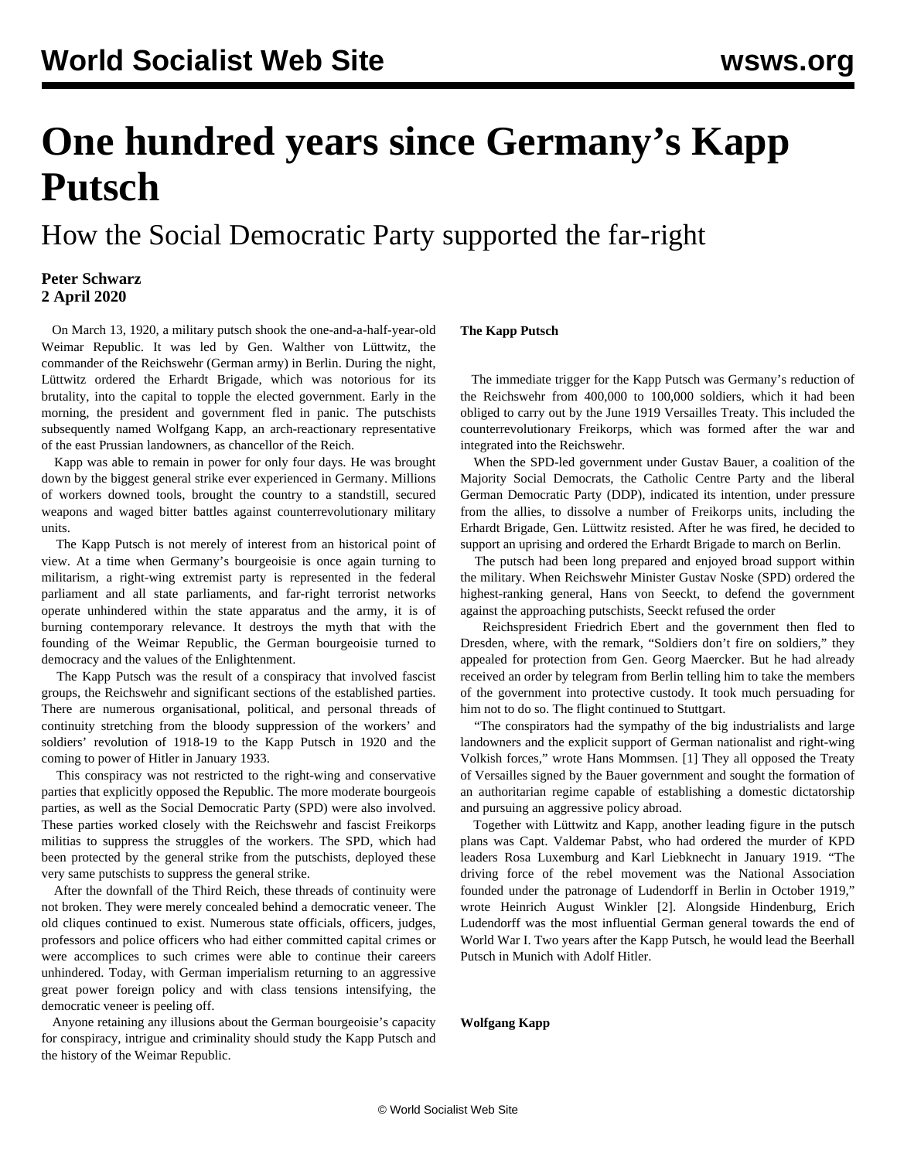# **One hundred years since Germany's Kapp Putsch**

How the Social Democratic Party supported the far-right

## **Peter Schwarz 2 April 2020**

 On March 13, 1920, a military putsch shook the one-and-a-half-year-old Weimar Republic. It was led by Gen. Walther von Lüttwitz, the commander of the Reichswehr (German army) in Berlin. During the night, Lüttwitz ordered the Erhardt Brigade, which was notorious for its brutality, into the capital to topple the elected government. Early in the morning, the president and government fled in panic. The putschists subsequently named Wolfgang Kapp, an arch-reactionary representative of the east Prussian landowners, as chancellor of the Reich.

 Kapp was able to remain in power for only four days. He was brought down by the biggest general strike ever experienced in Germany. Millions of workers downed tools, brought the country to a standstill, secured weapons and waged bitter battles against counterrevolutionary military units.

 The Kapp Putsch is not merely of interest from an historical point of view. At a time when Germany's bourgeoisie is once again turning to militarism, a right-wing extremist party is represented in the federal parliament and all state parliaments, and far-right terrorist networks operate unhindered within the state apparatus and the army, it is of burning contemporary relevance. It destroys the myth that with the founding of the Weimar Republic, the German bourgeoisie turned to democracy and the values of the Enlightenment.

 The Kapp Putsch was the result of a conspiracy that involved fascist groups, the Reichswehr and significant sections of the established parties. There are numerous organisational, political, and personal threads of continuity stretching from the bloody suppression of the workers' and soldiers' revolution of 1918-19 to the Kapp Putsch in 1920 and the coming to power of Hitler in January 1933.

 This conspiracy was not restricted to the right-wing and conservative parties that explicitly opposed the Republic. The more moderate bourgeois parties, as well as the Social Democratic Party (SPD) were also involved. These parties worked closely with the Reichswehr and fascist Freikorps militias to suppress the struggles of the workers. The SPD, which had been protected by the general strike from the putschists, deployed these very same putschists to suppress the general strike.

 After the downfall of the Third Reich, these threads of continuity were not broken. They were merely concealed behind a democratic veneer. The old cliques continued to exist. Numerous state officials, officers, judges, professors and police officers who had either committed capital crimes or were accomplices to such crimes were able to continue their careers unhindered. Today, with German imperialism returning to an aggressive great power foreign policy and with class tensions intensifying, the democratic veneer is peeling off.

 Anyone retaining any illusions about the German bourgeoisie's capacity for conspiracy, intrigue and criminality should study the Kapp Putsch and the history of the Weimar Republic.

### **The Kapp Putsch**

 The immediate trigger for the Kapp Putsch was Germany's reduction of the Reichswehr from 400,000 to 100,000 soldiers, which it had been obliged to carry out by the June 1919 Versailles Treaty. This included the counterrevolutionary Freikorps, which was formed after the war and integrated into the Reichswehr.

 When the SPD-led government under Gustav Bauer, a coalition of the Majority Social Democrats, the Catholic Centre Party and the liberal German Democratic Party (DDP), indicated its intention, under pressure from the allies, to dissolve a number of Freikorps units, including the Erhardt Brigade, Gen. Lüttwitz resisted. After he was fired, he decided to support an uprising and ordered the Erhardt Brigade to march on Berlin.

 The putsch had been long prepared and enjoyed broad support within the military. When Reichswehr Minister Gustav Noske (SPD) ordered the highest-ranking general, Hans von Seeckt, to defend the government against the approaching putschists, Seeckt refused the order

 Reichspresident Friedrich Ebert and the government then fled to Dresden, where, with the remark, "Soldiers don't fire on soldiers," they appealed for protection from Gen. Georg Maercker. But he had already received an order by telegram from Berlin telling him to take the members of the government into protective custody. It took much persuading for him not to do so. The flight continued to Stuttgart.

 "The conspirators had the sympathy of the big industrialists and large landowners and the explicit support of German nationalist and right-wing Volkish forces," wrote Hans Mommsen. [1] They all opposed the Treaty of Versailles signed by the Bauer government and sought the formation of an authoritarian regime capable of establishing a domestic dictatorship and pursuing an aggressive policy abroad.

 Together with Lüttwitz and Kapp, another leading figure in the putsch plans was Capt. Valdemar Pabst, who had ordered the murder of KPD leaders Rosa Luxemburg and Karl Liebknecht in January 1919. "The driving force of the rebel movement was the National Association founded under the patronage of Ludendorff in Berlin in October 1919," wrote Heinrich August Winkler [2]. Alongside Hindenburg, Erich Ludendorff was the most influential German general towards the end of World War I. Two years after the Kapp Putsch, he would lead the Beerhall Putsch in Munich with Adolf Hitler.

**Wolfgang Kapp**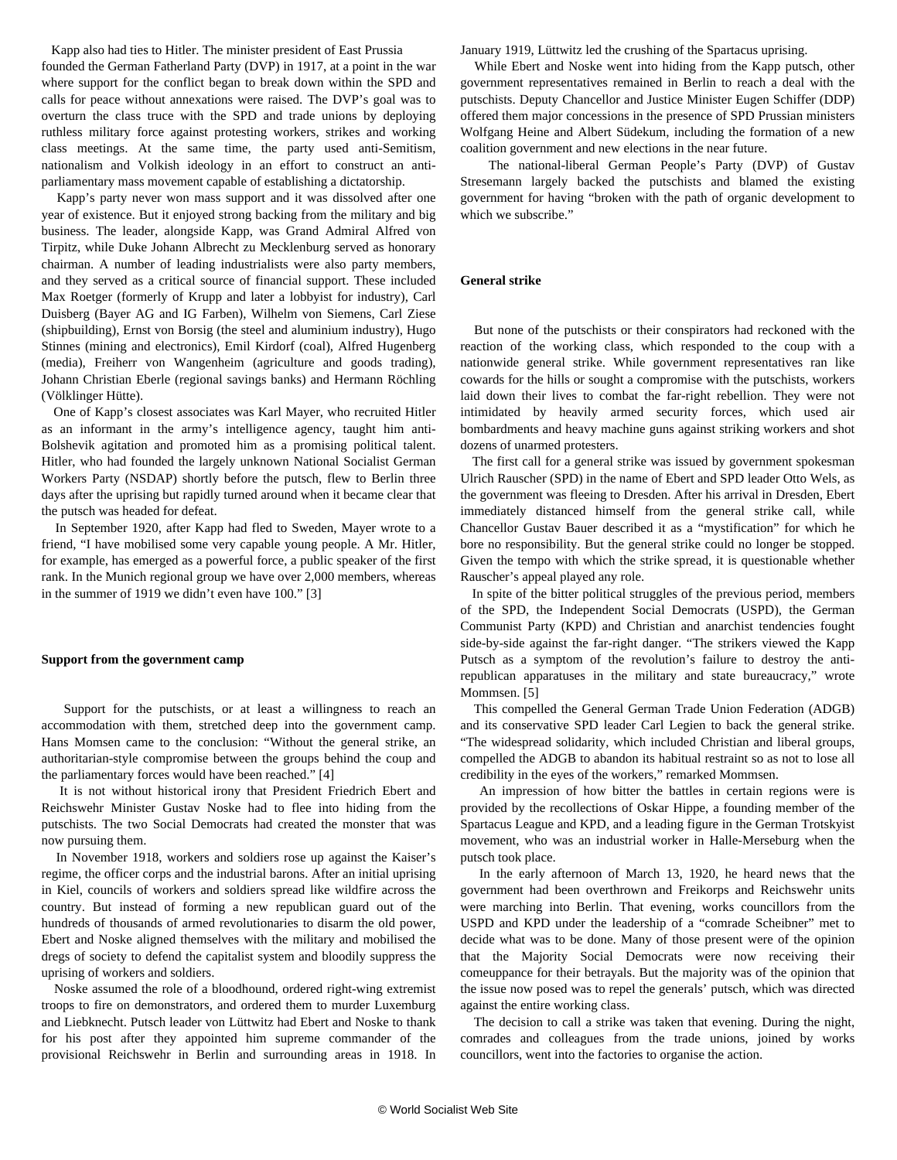Kapp also had ties to Hitler. The minister president of East Prussia founded the German Fatherland Party (DVP) in 1917, at a point in the war where support for the conflict began to break down within the SPD and calls for peace without annexations were raised. The DVP's goal was to overturn the class truce with the SPD and trade unions by deploying ruthless military force against protesting workers, strikes and working class meetings. At the same time, the party used anti-Semitism, nationalism and Volkish ideology in an effort to construct an antiparliamentary mass movement capable of establishing a dictatorship.

 Kapp's party never won mass support and it was dissolved after one year of existence. But it enjoyed strong backing from the military and big business. The leader, alongside Kapp, was Grand Admiral Alfred von Tirpitz, while Duke Johann Albrecht zu Mecklenburg served as honorary chairman. A number of leading industrialists were also party members, and they served as a critical source of financial support. These included Max Roetger (formerly of Krupp and later a lobbyist for industry), Carl Duisberg (Bayer AG and IG Farben), Wilhelm von Siemens, Carl Ziese (shipbuilding), Ernst von Borsig (the steel and aluminium industry), Hugo Stinnes (mining and electronics), Emil Kirdorf (coal), Alfred Hugenberg (media), Freiherr von Wangenheim (agriculture and goods trading), Johann Christian Eberle (regional savings banks) and Hermann Röchling (Völklinger Hütte).

 One of Kapp's closest associates was Karl Mayer, who recruited Hitler as an informant in the army's intelligence agency, taught him anti-Bolshevik agitation and promoted him as a promising political talent. Hitler, who had founded the largely unknown National Socialist German Workers Party (NSDAP) shortly before the putsch, flew to Berlin three days after the uprising but rapidly turned around when it became clear that the putsch was headed for defeat.

 In September 1920, after Kapp had fled to Sweden, Mayer wrote to a friend, "I have mobilised some very capable young people. A Mr. Hitler, for example, has emerged as a powerful force, a public speaker of the first rank. In the Munich regional group we have over 2,000 members, whereas in the summer of 1919 we didn't even have 100." [3]

#### **Support from the government camp**

 Support for the putschists, or at least a willingness to reach an accommodation with them, stretched deep into the government camp. Hans Momsen came to the conclusion: "Without the general strike, an authoritarian-style compromise between the groups behind the coup and the parliamentary forces would have been reached." [4]

 It is not without historical irony that President Friedrich Ebert and Reichswehr Minister Gustav Noske had to flee into hiding from the putschists. The two Social Democrats had created the monster that was now pursuing them.

 In November 1918, workers and soldiers rose up against the Kaiser's regime, the officer corps and the industrial barons. After an initial uprising in Kiel, councils of workers and soldiers spread like wildfire across the country. But instead of forming a new republican guard out of the hundreds of thousands of armed revolutionaries to disarm the old power, Ebert and Noske aligned themselves with the military and mobilised the dregs of society to defend the capitalist system and bloodily suppress the uprising of workers and soldiers.

 Noske assumed the role of a bloodhound, ordered right-wing extremist troops to fire on demonstrators, and ordered them to murder Luxemburg and Liebknecht. Putsch leader von Lüttwitz had Ebert and Noske to thank for his post after they appointed him supreme commander of the provisional Reichswehr in Berlin and surrounding areas in 1918. In

January 1919, Lüttwitz led the crushing of the Spartacus uprising.

 While Ebert and Noske went into hiding from the Kapp putsch, other government representatives remained in Berlin to reach a deal with the putschists. Deputy Chancellor and Justice Minister Eugen Schiffer (DDP) offered them major concessions in the presence of SPD Prussian ministers Wolfgang Heine and Albert Südekum, including the formation of a new coalition government and new elections in the near future.

 The national-liberal German People's Party (DVP) of Gustav Stresemann largely backed the putschists and blamed the existing government for having "broken with the path of organic development to which we subscribe."

#### **General strike**

 But none of the putschists or their conspirators had reckoned with the reaction of the working class, which responded to the coup with a nationwide general strike. While government representatives ran like cowards for the hills or sought a compromise with the putschists, workers laid down their lives to combat the far-right rebellion. They were not intimidated by heavily armed security forces, which used air bombardments and heavy machine guns against striking workers and shot dozens of unarmed protesters.

 The first call for a general strike was issued by government spokesman Ulrich Rauscher (SPD) in the name of Ebert and SPD leader Otto Wels, as the government was fleeing to Dresden. After his arrival in Dresden, Ebert immediately distanced himself from the general strike call, while Chancellor Gustav Bauer described it as a "mystification" for which he bore no responsibility. But the general strike could no longer be stopped. Given the tempo with which the strike spread, it is questionable whether Rauscher's appeal played any role.

 In spite of the bitter political struggles of the previous period, members of the SPD, the Independent Social Democrats (USPD), the German Communist Party (KPD) and Christian and anarchist tendencies fought side-by-side against the far-right danger. "The strikers viewed the Kapp Putsch as a symptom of the revolution's failure to destroy the antirepublican apparatuses in the military and state bureaucracy," wrote Mommsen. [5]

 This compelled the General German Trade Union Federation (ADGB) and its conservative SPD leader Carl Legien to back the general strike. "The widespread solidarity, which included Christian and liberal groups, compelled the ADGB to abandon its habitual restraint so as not to lose all credibility in the eyes of the workers," remarked Mommsen.

 An impression of how bitter the battles in certain regions were is provided by the recollections of Oskar Hippe, a founding member of the Spartacus League and KPD, and a leading figure in the German Trotskyist movement, who was an industrial worker in Halle-Merseburg when the putsch took place.

 In the early afternoon of March 13, 1920, he heard news that the government had been overthrown and Freikorps and Reichswehr units were marching into Berlin. That evening, works councillors from the USPD and KPD under the leadership of a "comrade Scheibner" met to decide what was to be done. Many of those present were of the opinion that the Majority Social Democrats were now receiving their comeuppance for their betrayals. But the majority was of the opinion that the issue now posed was to repel the generals' putsch, which was directed against the entire working class.

 The decision to call a strike was taken that evening. During the night, comrades and colleagues from the trade unions, joined by works councillors, went into the factories to organise the action.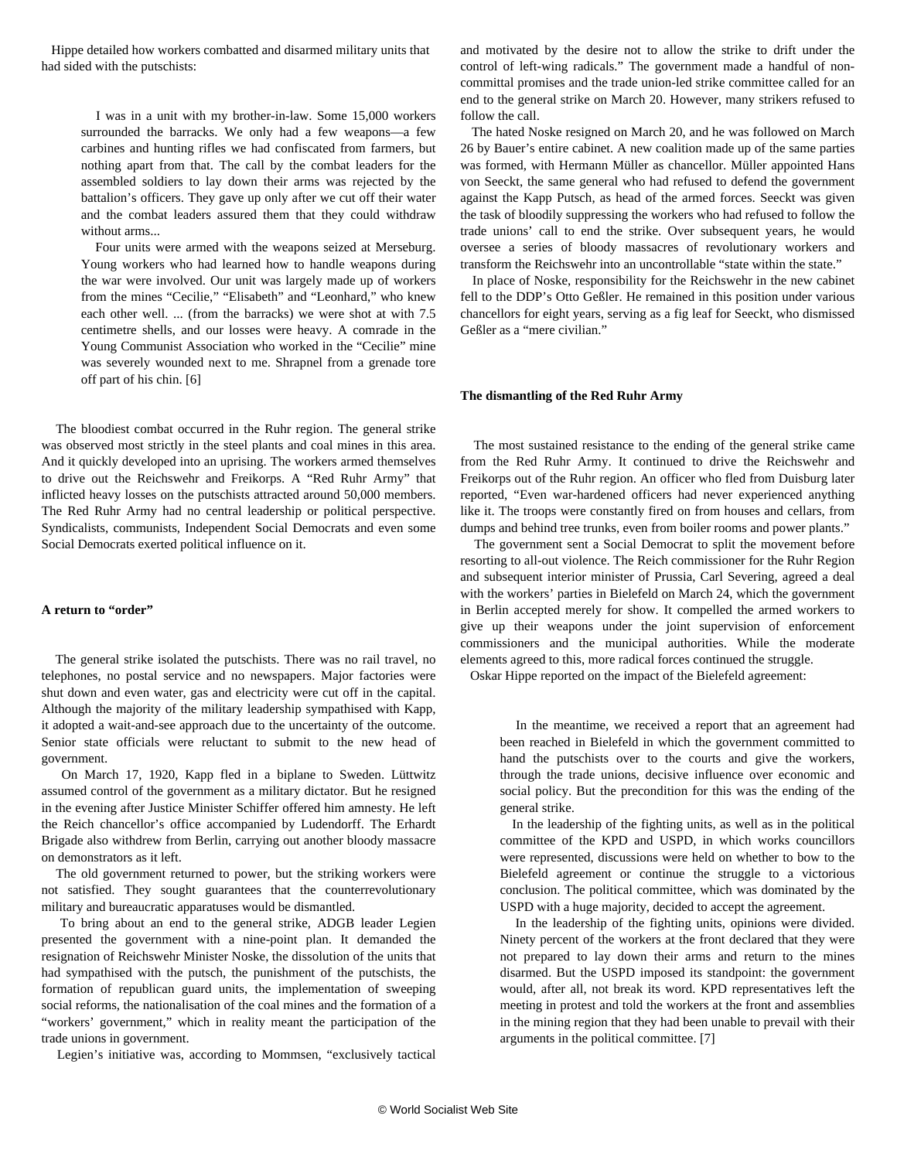Hippe detailed how workers combatted and disarmed military units that had sided with the putschists:

> I was in a unit with my brother-in-law. Some 15,000 workers surrounded the barracks. We only had a few weapons—a few carbines and hunting rifles we had confiscated from farmers, but nothing apart from that. The call by the combat leaders for the assembled soldiers to lay down their arms was rejected by the battalion's officers. They gave up only after we cut off their water and the combat leaders assured them that they could withdraw without arms.

> Four units were armed with the weapons seized at Merseburg. Young workers who had learned how to handle weapons during the war were involved. Our unit was largely made up of workers from the mines "Cecilie," "Elisabeth" and "Leonhard," who knew each other well. ... (from the barracks) we were shot at with 7.5 centimetre shells, and our losses were heavy. A comrade in the Young Communist Association who worked in the "Cecilie" mine was severely wounded next to me. Shrapnel from a grenade tore off part of his chin. [6]

 The bloodiest combat occurred in the Ruhr region. The general strike was observed most strictly in the steel plants and coal mines in this area. And it quickly developed into an uprising. The workers armed themselves to drive out the Reichswehr and Freikorps. A "Red Ruhr Army" that inflicted heavy losses on the putschists attracted around 50,000 members. The Red Ruhr Army had no central leadership or political perspective. Syndicalists, communists, Independent Social Democrats and even some Social Democrats exerted political influence on it.

#### **A return to "order"**

 The general strike isolated the putschists. There was no rail travel, no telephones, no postal service and no newspapers. Major factories were shut down and even water, gas and electricity were cut off in the capital. Although the majority of the military leadership sympathised with Kapp, it adopted a wait-and-see approach due to the uncertainty of the outcome. Senior state officials were reluctant to submit to the new head of government.

 On March 17, 1920, Kapp fled in a biplane to Sweden. Lüttwitz assumed control of the government as a military dictator. But he resigned in the evening after Justice Minister Schiffer offered him amnesty. He left the Reich chancellor's office accompanied by Ludendorff. The Erhardt Brigade also withdrew from Berlin, carrying out another bloody massacre on demonstrators as it left.

 The old government returned to power, but the striking workers were not satisfied. They sought guarantees that the counterrevolutionary military and bureaucratic apparatuses would be dismantled.

 To bring about an end to the general strike, ADGB leader Legien presented the government with a nine-point plan. It demanded the resignation of Reichswehr Minister Noske, the dissolution of the units that had sympathised with the putsch, the punishment of the putschists, the formation of republican guard units, the implementation of sweeping social reforms, the nationalisation of the coal mines and the formation of a "workers' government," which in reality meant the participation of the trade unions in government.

Legien's initiative was, according to Mommsen, "exclusively tactical

and motivated by the desire not to allow the strike to drift under the control of left-wing radicals." The government made a handful of noncommittal promises and the trade union-led strike committee called for an end to the general strike on March 20. However, many strikers refused to follow the call.

 The hated Noske resigned on March 20, and he was followed on March 26 by Bauer's entire cabinet. A new coalition made up of the same parties was formed, with Hermann Müller as chancellor. Müller appointed Hans von Seeckt, the same general who had refused to defend the government against the Kapp Putsch, as head of the armed forces. Seeckt was given the task of bloodily suppressing the workers who had refused to follow the trade unions' call to end the strike. Over subsequent years, he would oversee a series of bloody massacres of revolutionary workers and transform the Reichswehr into an uncontrollable "state within the state."

 In place of Noske, responsibility for the Reichswehr in the new cabinet fell to the DDP's Otto Geßler. He remained in this position under various chancellors for eight years, serving as a fig leaf for Seeckt, who dismissed Geßler as a "mere civilian."

#### **The dismantling of the Red Ruhr Army**

 The most sustained resistance to the ending of the general strike came from the Red Ruhr Army. It continued to drive the Reichswehr and Freikorps out of the Ruhr region. An officer who fled from Duisburg later reported, "Even war-hardened officers had never experienced anything like it. The troops were constantly fired on from houses and cellars, from dumps and behind tree trunks, even from boiler rooms and power plants."

 The government sent a Social Democrat to split the movement before resorting to all-out violence. The Reich commissioner for the Ruhr Region and subsequent interior minister of Prussia, Carl Severing, agreed a deal with the workers' parties in Bielefeld on March 24, which the government in Berlin accepted merely for show. It compelled the armed workers to give up their weapons under the joint supervision of enforcement commissioners and the municipal authorities. While the moderate elements agreed to this, more radical forces continued the struggle.

Oskar Hippe reported on the impact of the Bielefeld agreement:

 In the meantime, we received a report that an agreement had been reached in Bielefeld in which the government committed to hand the putschists over to the courts and give the workers, through the trade unions, decisive influence over economic and social policy. But the precondition for this was the ending of the general strike.

 In the leadership of the fighting units, as well as in the political committee of the KPD and USPD, in which works councillors were represented, discussions were held on whether to bow to the Bielefeld agreement or continue the struggle to a victorious conclusion. The political committee, which was dominated by the USPD with a huge majority, decided to accept the agreement.

 In the leadership of the fighting units, opinions were divided. Ninety percent of the workers at the front declared that they were not prepared to lay down their arms and return to the mines disarmed. But the USPD imposed its standpoint: the government would, after all, not break its word. KPD representatives left the meeting in protest and told the workers at the front and assemblies in the mining region that they had been unable to prevail with their arguments in the political committee. [7]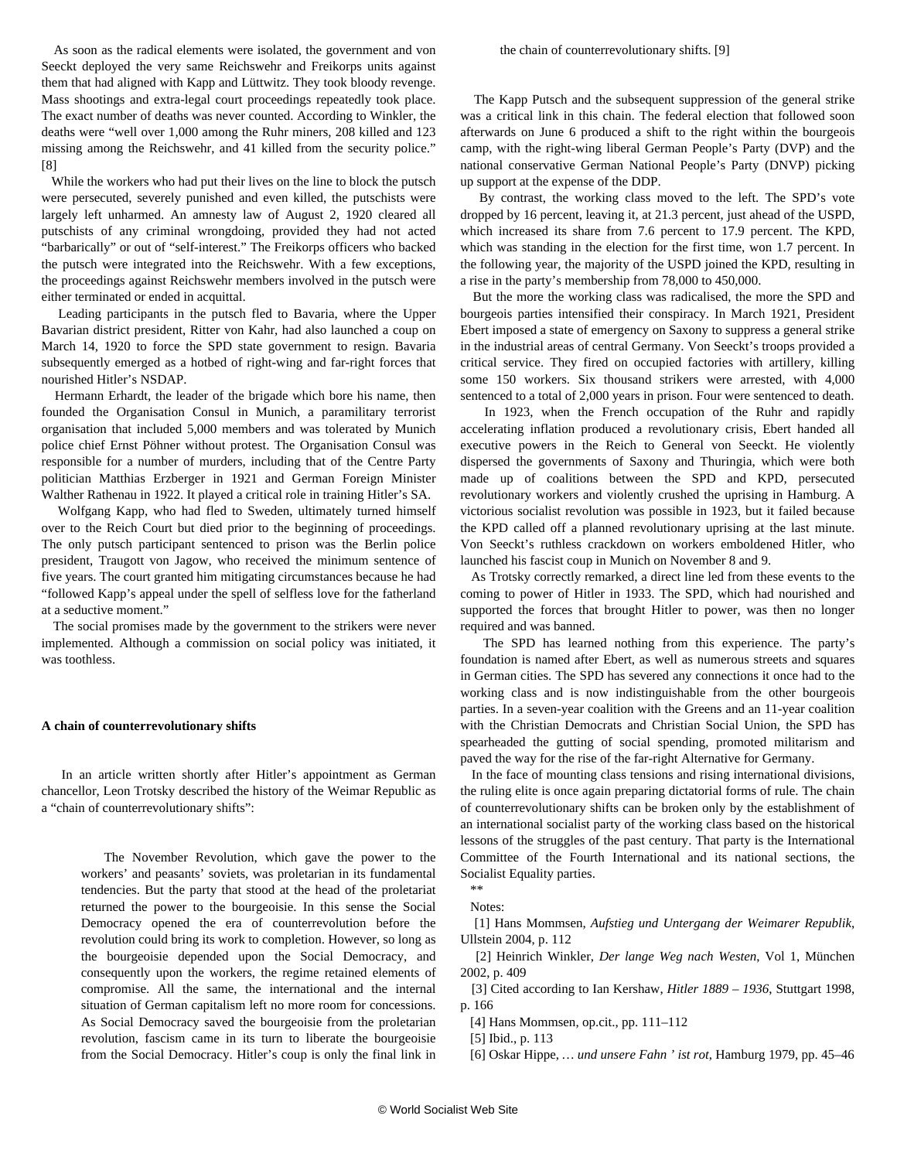As soon as the radical elements were isolated, the government and von Seeckt deployed the very same Reichswehr and Freikorps units against them that had aligned with Kapp and Lüttwitz. They took bloody revenge. Mass shootings and extra-legal court proceedings repeatedly took place. The exact number of deaths was never counted. According to Winkler, the deaths were "well over 1,000 among the Ruhr miners, 208 killed and 123 missing among the Reichswehr, and 41 killed from the security police." [8]

 While the workers who had put their lives on the line to block the putsch were persecuted, severely punished and even killed, the putschists were largely left unharmed. An amnesty law of August 2, 1920 cleared all putschists of any criminal wrongdoing, provided they had not acted "barbarically" or out of "self-interest." The Freikorps officers who backed the putsch were integrated into the Reichswehr. With a few exceptions, the proceedings against Reichswehr members involved in the putsch were either terminated or ended in acquittal.

 Leading participants in the putsch fled to Bavaria, where the Upper Bavarian district president, Ritter von Kahr, had also launched a coup on March 14, 1920 to force the SPD state government to resign. Bavaria subsequently emerged as a hotbed of right-wing and far-right forces that nourished Hitler's NSDAP.

 Hermann Erhardt, the leader of the brigade which bore his name, then founded the Organisation Consul in Munich, a paramilitary terrorist organisation that included 5,000 members and was tolerated by Munich police chief Ernst Pöhner without protest. The Organisation Consul was responsible for a number of murders, including that of the Centre Party politician Matthias Erzberger in 1921 and German Foreign Minister Walther Rathenau in 1922. It played a critical role in training Hitler's SA.

 Wolfgang Kapp, who had fled to Sweden, ultimately turned himself over to the Reich Court but died prior to the beginning of proceedings. The only putsch participant sentenced to prison was the Berlin police president, Traugott von Jagow, who received the minimum sentence of five years. The court granted him mitigating circumstances because he had "followed Kapp's appeal under the spell of selfless love for the fatherland at a seductive moment."

 The social promises made by the government to the strikers were never implemented. Although a commission on social policy was initiated, it was toothless.

#### **A chain of counterrevolutionary shifts**

 In an article written shortly after Hitler's appointment as German chancellor, Leon Trotsky described the history of the Weimar Republic as a "chain of counterrevolutionary shifts":

 The November Revolution, which gave the power to the workers' and peasants' soviets, was proletarian in its fundamental tendencies. But the party that stood at the head of the proletariat returned the power to the bourgeoisie. In this sense the Social Democracy opened the era of counterrevolution before the revolution could bring its work to completion. However, so long as the bourgeoisie depended upon the Social Democracy, and consequently upon the workers, the regime retained elements of compromise. All the same, the international and the internal situation of German capitalism left no more room for concessions. As Social Democracy saved the bourgeoisie from the proletarian revolution, fascism came in its turn to liberate the bourgeoisie from the Social Democracy. Hitler's coup is only the final link in the chain of counterrevolutionary shifts. [9]

 The Kapp Putsch and the subsequent suppression of the general strike was a critical link in this chain. The federal election that followed soon afterwards on June 6 produced a shift to the right within the bourgeois camp, with the right-wing liberal German People's Party (DVP) and the national conservative German National People's Party (DNVP) picking up support at the expense of the DDP.

 By contrast, the working class moved to the left. The SPD's vote dropped by 16 percent, leaving it, at 21.3 percent, just ahead of the USPD, which increased its share from 7.6 percent to 17.9 percent. The KPD, which was standing in the election for the first time, won 1.7 percent. In the following year, the majority of the USPD joined the KPD, resulting in a rise in the party's membership from 78,000 to 450,000.

 But the more the working class was radicalised, the more the SPD and bourgeois parties intensified their conspiracy. In March 1921, President Ebert imposed a state of emergency on Saxony to suppress a general strike in the industrial areas of central Germany. Von Seeckt's troops provided a critical service. They fired on occupied factories with artillery, killing some 150 workers. Six thousand strikers were arrested, with 4,000 sentenced to a total of 2,000 years in prison. Four were sentenced to death.

 In 1923, when the French occupation of the Ruhr and rapidly accelerating inflation produced a revolutionary crisis, Ebert handed all executive powers in the Reich to General von Seeckt. He violently dispersed the governments of Saxony and Thuringia, which were both made up of coalitions between the SPD and KPD, persecuted revolutionary workers and violently crushed the uprising in Hamburg. A victorious socialist revolution was possible in 1923, but it failed because the KPD called off a planned revolutionary uprising at the last minute. Von Seeckt's ruthless crackdown on workers emboldened Hitler, who launched his fascist coup in Munich on November 8 and 9.

 As Trotsky correctly remarked, a direct line led from these events to the coming to power of Hitler in 1933. The SPD, which had nourished and supported the forces that brought Hitler to power, was then no longer required and was banned.

 The SPD has learned nothing from this experience. The party's foundation is named after Ebert, as well as numerous streets and squares in German cities. The SPD has severed any connections it once had to the working class and is now indistinguishable from the other bourgeois parties. In a seven-year coalition with the Greens and an 11-year coalition with the Christian Democrats and Christian Social Union, the SPD has spearheaded the gutting of social spending, promoted militarism and paved the way for the rise of the far-right Alternative for Germany.

 In the face of mounting class tensions and rising international divisions, the ruling elite is once again preparing dictatorial forms of rule. The chain of counterrevolutionary shifts can be broken only by the establishment of an international socialist party of the working class based on the historical lessons of the struggles of the past century. That party is the International Committee of the Fourth International and its national sections, the Socialist Equality parties.

 \*\* Notes:

 [1] Hans Mommsen, *Aufstieg und Untergang der Weimarer Republik*, Ullstein 2004, p. 112

 [2] Heinrich Winkler, *Der lange Weg nach Westen*, Vol 1, München 2002, p. 409

 [3] Cited according to Ian Kershaw, *Hitler 1889 – 1936*, Stuttgart 1998, p. 166

[4] Hans Mommsen, op.cit., pp. 111–112

[5] Ibid., p. 113

[6] Oskar Hippe, *… und unsere Fahn ' ist rot*, Hamburg 1979, pp. 45–46